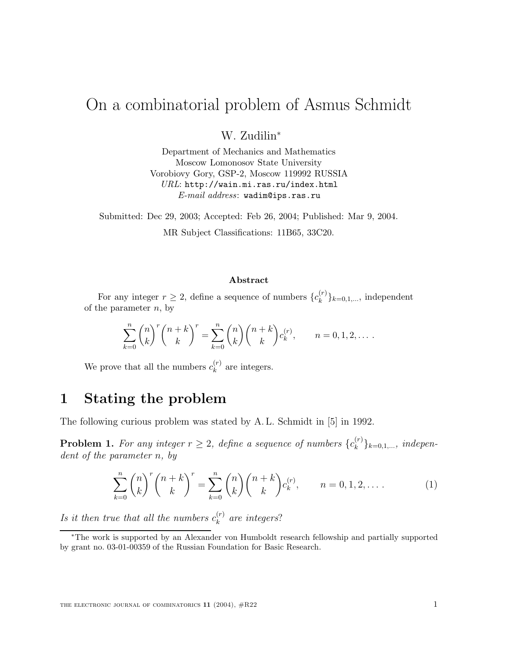# On a combinatorial problem of Asmus Schmidt

W. Zudilin<sup>∗</sup>

Department of Mechanics and Mathematics Moscow Lomonosov State University Vorobiovy Gory, GSP-2, Moscow 119992 RUSSIA *URL*: http://wain.mi.ras.ru/index.html *E-mail address*: wadim@ips.ras.ru

Submitted: Dec 29, 2003; Accepted: Feb 26, 2004; Published: Mar 9, 2004. MR Subject Classifications: 11B65, 33C20.

#### **Abstract**

For any integer  $r \geq 2$ , define a sequence of numbers  $\{c_k^{(r)}\}_{k=0,1,...}$ , independent of the parameter  $n$ , by

$$
\sum_{k=0}^{n} \binom{n}{k}^{r} \binom{n+k}{k}^{r} = \sum_{k=0}^{n} \binom{n}{k} \binom{n+k}{k} c_k^{(r)}, \qquad n = 0, 1, 2, \dots.
$$

We prove that all the numbers  $c_k^{(r)}$  are integers.

#### **1 Stating the problem**

The following curious problem was stated by A. L. Schmidt in [5] in 1992.

**Problem 1.** For any integer  $r \geq 2$ , define a sequence of numbers  $\{c_k^{(r)}\}_{k=0,1,...}$ , independent of the parameter n, by

$$
\sum_{k=0}^{n} \binom{n}{k}^{r} \binom{n+k}{k}^{r} = \sum_{k=0}^{n} \binom{n}{k} \binom{n+k}{k} c_k^{(r)}, \qquad n = 0, 1, 2, \dots \tag{1}
$$

Is it then true that all the numbers  $c_k^{(r)}$  are integers?

<sup>∗</sup>The work is supported by an Alexander von Humboldt research fellowship and partially supported by grant no. 03-01-00359 of the Russian Foundation for Basic Research.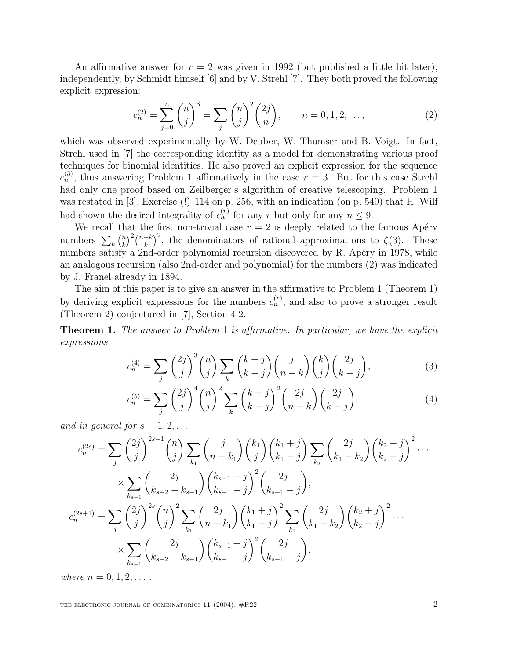An affirmative answer for  $r = 2$  was given in 1992 (but published a little bit later), independently, by Schmidt himself [6] and by V. Strehl [7]. They both proved the following explicit expression:

$$
c_n^{(2)} = \sum_{j=0}^n \binom{n}{j}^3 = \sum_j \binom{n}{j}^2 \binom{2j}{n}, \qquad n = 0, 1, 2, \dots,
$$
 (2)

which was observed experimentally by W. Deuber, W. Thumser and B. Voigt. In fact, Strehl used in [7] the corresponding identity as a model for demonstrating various proof techniques for binomial identities. He also proved an explicit expression for the sequence  $c_n^{(3)}$ , thus answering Problem 1 affirmatively in the case  $r = 3$ . But for this case Strehl had only one proof based on Zeilberger's algorithm of creative telescoping. Problem 1 was restated in [3], Exercise (!) 114 on p. 256, with an indication (on p. 549) that H. Wilf had shown the desired integrality of  $c_n^{(r)}$  for any r but only for any  $n \leq 9$ .

We recall that the first non-trivial case  $r = 2$  is deeply related to the famous Apéry numbers  $\sum_{k} {n \choose k}^2 {n+k \choose k}^2$ , the denominators of rational approximations to  $\zeta(3)$ . These numbers satisfy a 2nd-order polynomial recursion discovered by R. Apéry in 1978, while an analogous recursion (also 2nd-order and polynomial) for the numbers (2) was indicated by J. Franel already in 1894.

The aim of this paper is to give an answer in the affirmative to Problem 1 (Theorem 1) by deriving explicit expressions for the numbers  $c_n^{(r)}$ , and also to prove a stronger result (Theorem 2) conjectured in [7], Section 4.2.

**Theorem 1.** The answer to Problem 1 is affirmative. In particular, we have the explicit expressions

$$
c_n^{(4)} = \sum_j \binom{2j}{j}^3 \binom{n}{j} \sum_k \binom{k+j}{k-j} \binom{j}{n-k} \binom{k}{j} \binom{2j}{k-j},
$$
(3)

$$
c_n^{(5)} = \sum_j \binom{2j}{j}^4 \binom{n}{j}^2 \sum_k \binom{k+j}{k-j}^2 \binom{2j}{n-k} \binom{2j}{k-j},
$$
(4)

and in general for  $s = 1, 2, \ldots$ 

$$
c_n^{(2s)} = \sum_j \binom{2j}{j}^{2s-1} \binom{n}{j} \sum_{k_1} \binom{j}{n-k_1} \binom{k_1}{j} \binom{k_1+j}{k_1-j} \sum_{k_2} \binom{2j}{k_1-k_2} \binom{k_2+j}{k_2-j}^2 \cdots
$$
  

$$
\times \sum_{k_{s-1}} \binom{2j}{k_{s-2}-k_{s-1}} \binom{k_{s-1}+j}{k_{s-1}-j}^2 \binom{2j}{k_{s-1}-j},
$$
  

$$
c_n^{(2s+1)} = \sum_j \binom{2j}{j}^{2s} \binom{n}{j}^2 \sum_{k_1} \binom{2j}{n-k_1} \binom{k_1+j}{k_1-j}^2 \sum_{k_2} \binom{2j}{k_1-k_2} \binom{k_2+j}{k_2-j}^2 \cdots
$$
  

$$
\times \sum_{k_{s-1}} \binom{2j}{k_{s-2}-k_{s-1}} \binom{k_{s-1}+j}{k_{s-1}-j}^2 \binom{2j}{k_{s-1}-j},
$$

where  $n = 0, 1, 2, \ldots$ .

the electronic journal of combinatorics **11** (2004), #R22 2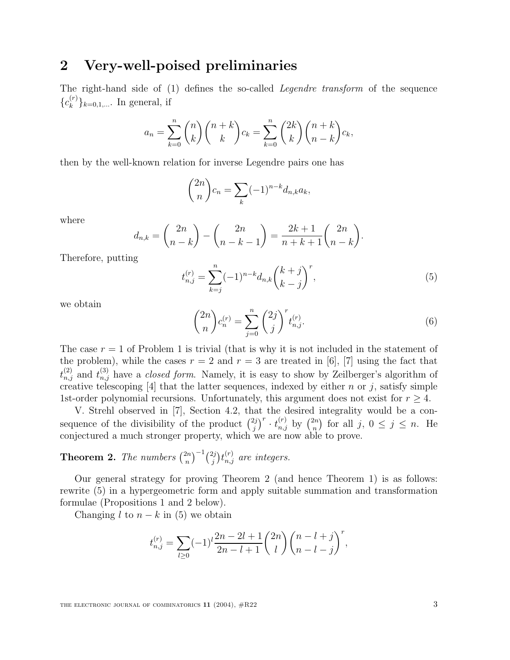## **2 Very-well-poised preliminaries**

The right-hand side of (1) defines the so-called Legendre transform of the sequence  ${c_k^{(r)}}_{k=0,1,...}$  In general, if

$$
a_n = \sum_{k=0}^n \binom{n}{k} \binom{n+k}{k} c_k = \sum_{k=0}^n \binom{2k}{k} \binom{n+k}{n-k} c_k,
$$

then by the well-known relation for inverse Legendre pairs one has

$$
\binom{2n}{n}c_n = \sum_k (-1)^{n-k} d_{n,k} a_k,
$$

where

$$
d_{n,k} = \binom{2n}{n-k} - \binom{2n}{n-k-1} = \frac{2k+1}{n+k+1} \binom{2n}{n-k}.
$$

Therefore, putting

$$
t_{n,j}^{(r)} = \sum_{k=j}^{n} (-1)^{n-k} d_{n,k} \binom{k+j}{k-j}^r,
$$
\n(5)

we obtain

$$
\binom{2n}{n}c_n^{(r)} = \sum_{j=0}^n \binom{2j}{j}^r t_{n,j}^{(r)}.
$$
\n(6)

The case  $r = 1$  of Problem 1 is trivial (that is why it is not included in the statement of the problem), while the cases  $r = 2$  and  $r = 3$  are treated in [6], [7] using the fact that  $t_{n,j}^{(2)}$  and  $t_{n,j}^{(3)}$  have a *closed form*. Namely, it is easy to show by Zeilberger's algorithm of creative telescoping [4] that the latter sequences, indexed by either n or j, satisfy simple 1st-order polynomial recursions. Unfortunately, this argument does not exist for  $r \geq 4$ .

V. Strehl observed in [7], Section 4.2, that the desired integrality would be a consequence of the divisibility of the product  $\binom{2j}{j}^r \cdot t_{n,j}^{(r)}$  by  $\binom{2n}{n}$  for all j,  $0 \leq j \leq n$ . He conjectured a much stronger property, which we are now able to prove.

**Theorem 2.** The numbers  $\binom{2n}{n}^{-1}\binom{2j}{j}t_{n,j}^{(r)}$  are integers.

Our general strategy for proving Theorem 2 (and hence Theorem 1) is as follows: rewrite (5) in a hypergeometric form and apply suitable summation and transformation formulae (Propositions 1 and 2 below).

Changing l to  $n - k$  in (5) we obtain

$$
t_{n,j}^{(r)} = \sum_{l\geq 0} (-1)^l \frac{2n-2l+1}{2n-l+1} {2n \choose l} {n-l+j \choose n-l-j}^r,
$$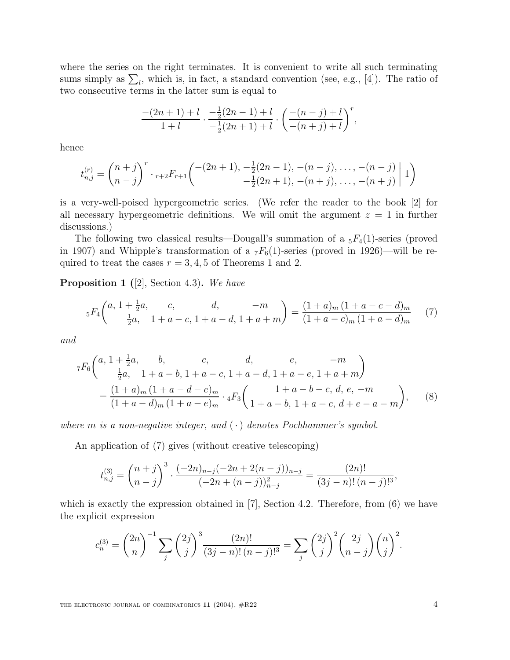where the series on the right terminates. It is convenient to write all such terminating sums simply as  $\sum_l$ , which is, in fact, a standard convention (see, e.g., [4]). The ratio of two consecutive terms in the latter sum is equal to

$$
\frac{-(2n+1)+l}{1+l} \cdot \frac{-\frac{1}{2}(2n-1)+l}{-\frac{1}{2}(2n+1)+l} \cdot \left(\frac{-(n-j)+l}{-(n+j)+l}\right)^r,
$$

hence

$$
t_{n,j}^{(r)} = {n+j \choose n-j}^r \cdot {}_{r+2}F_{r+1} \left( \begin{array}{c} -(2n+1), -\frac{1}{2}(2n-1), -(n-j), \dots, -(n-j) \\ -\frac{1}{2}(2n+1), -(n+j), \dots, -(n+j) \end{array} \middle| 1 \right)
$$

is a very-well-poised hypergeometric series. (We refer the reader to the book [2] for all necessary hypergeometric definitions. We will omit the argument  $z = 1$  in further discussions.)

The following two classical results—Dougall's summation of a  ${}_5F_4(1)$ -series (proved in 1907) and Whipple's transformation of a  $_7F_6(1)$ -series (proved in 1926)—will be required to treat the cases  $r = 3, 4, 5$  of Theorems 1 and 2.

**Proposition 1 (**[2], Section 4.3)**.** We have

$$
{}_{5}F_{4}\left(^{a, 1+\frac{1}{2}a, \ c, \ d, \ -m}_{\frac{1}{2}a, \ 1+a-c, \ 1+a-d, \ 1+a+m}\right) = \frac{(1+a)_{m}(1+a-c-d)_{m}}{(1+a-c)_{m}(1+a-d)_{m}} \tag{7}
$$

and

$$
{}_{7}F_{6}\left(a, 1+\frac{1}{2}a, \quad b, \quad c, \quad d, \quad e, \quad -m
$$

$$
\frac{1}{2}a, \quad 1+a-b, \quad 1+a-c, \quad 1+a-d, \quad 1+a-e, \quad 1+a+m\right)
$$

$$
=\frac{(1+a)_{m}(1+a-d-e)_{m}}{(1+a-d)_{m}(1+a-e)_{m}} \cdot {}_{4}F_{3}\left(1+a-b-c, \quad d, \quad e, \quad -m
$$

$$
1+a-c, \quad d+e-a-m\right), \quad (8)
$$

where m is a non-negative integer, and  $(\cdot)$  denotes Pochhammer's symbol.

An application of (7) gives (without creative telescoping)

$$
t_{n,j}^{(3)} = {n+j \choose n-j}^3 \cdot \frac{(-2n)_{n-j}(-2n+2(n-j))_{n-j}}{(-2n+(n-j))_{n-j}^2} = \frac{(2n)!}{(3j-n)!(n-j)!^3},
$$

which is exactly the expression obtained in  $[7]$ , Section 4.2. Therefore, from  $(6)$  we have the explicit expression

$$
c_n^{(3)} = {2n \choose n}^{-1} \sum_j {2j \choose j}^3 \frac{(2n)!}{(3j-n)!(n-j)!^3} = \sum_j {2j \choose j}^2 {2j \choose n-j} {n \choose j}^2.
$$

THE ELECTRONIC JOURNAL OF COMBINATORICS  $11$  (2004),  $\#R22$   $4$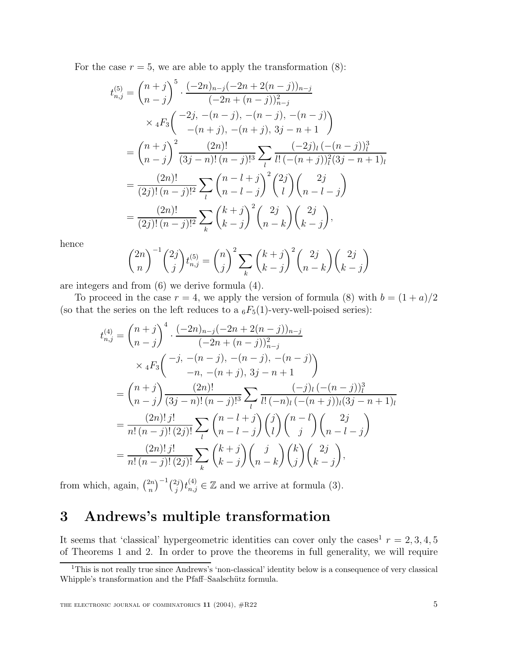For the case  $r = 5$ , we are able to apply the transformation  $(8)$ :

$$
t_{n,j}^{(5)} = {n+j \choose n-j}^{5} \cdot \frac{(-2n)_{n-j}(-2n+2(n-j))_{n-j}}{(-2n+(n-j))_{n-j}^{2}}
$$
  
 
$$
\times {}_{4}F_{3} \left( \begin{array}{c} -2j, -(n-j), -(n-j), -(n-j) \\ -(n+j), -(n+j), 3j-n+1 \end{array} \right)
$$
  
= 
$$
{n+j \choose n-j}^{2} \frac{(2n)!}{(3j-n)!(n-j)!^{3}} \sum_{l} \frac{(-2j)_{l}(-(n-j))_{l}^{3}}{l!(-(n+j))_{l}^{2}(3j-n+1)_{l}}
$$
  
= 
$$
\frac{(2n)!}{(2j)!(n-j)!^{2}} \sum_{l} {n-l-j \choose n-l-j}^{2} {2j \choose l} {2j \choose n-l-j}
$$
  
= 
$$
\frac{(2n)!}{(2j)!(n-j)!^{2}} \sum_{k} {k+j \choose k-j}^{2} {2j \choose n-k} {2j \choose k-j},
$$

hence

$$
\binom{2n}{n}^{-1} \binom{2j}{j} t_{n,j}^{(5)} = \binom{n}{j}^2 \sum_{k} \binom{k+j}{k-j}^2 \binom{2j}{n-k} \binom{2j}{k-j}
$$

are integers and from (6) we derive formula (4).

To proceed in the case  $r = 4$ , we apply the version of formula (8) with  $b = (1 + a)/2$ (so that the series on the left reduces to a  $_6F_5(1)$ -very-well-poised series):

$$
t_{n,j}^{(4)} = {n+j \choose n-j}^{4} \cdot \frac{(-2n)_{n-j}(-2n+2(n-j))_{n-j}}{(-2n+(n-j))_{n-j}^{2}}
$$
  
 
$$
\times {}_{4}F_{3} \left( \begin{array}{c} -j, -(n-j), -(n-j), -(n-j) \\ -n, -(n+j), 3j-n+1 \end{array} \right)
$$
  
= 
$$
{n+j \choose n-j} \frac{(2n)!}{(3j-n)!(n-j)!^{3}} \sum_{l} \frac{(-j)_{l}((-n-j))_{l}^{3}}{l!(-n)_{l}((-n+j))_{l}(3j-n+1)_{l}}
$$
  
= 
$$
\frac{(2n)!j!}{n!(n-j)!(2j)!} \sum_{l} {n-l-j \choose n-l-j} {j \choose l} {n-l \choose j} {2j \choose n-l-j}
$$
  
= 
$$
\frac{(2n)!j!}{n!(n-j)!(2j)!} \sum_{k} {k+j \choose k-j} {j \choose n-k} {2j \choose j} {2j \choose k-j},
$$

from which, again,  $\binom{2n}{n}^{-1} \binom{2j}{j} t_{n,j}^{(4)} \in \mathbb{Z}$  and we arrive at formula (3).

## **3 Andrews's multiple transformation**

It seems that 'classical' hypergeometric identities can cover only the cases<sup>1</sup>  $r = 2, 3, 4, 5$ of Theorems 1 and 2. In order to prove the theorems in full generality, we will require

<sup>&</sup>lt;sup>1</sup>This is not really true since Andrews's 'non-classical' identity below is a consequence of very classical Whipple's transformation and the Pfaff-Saalschütz formula.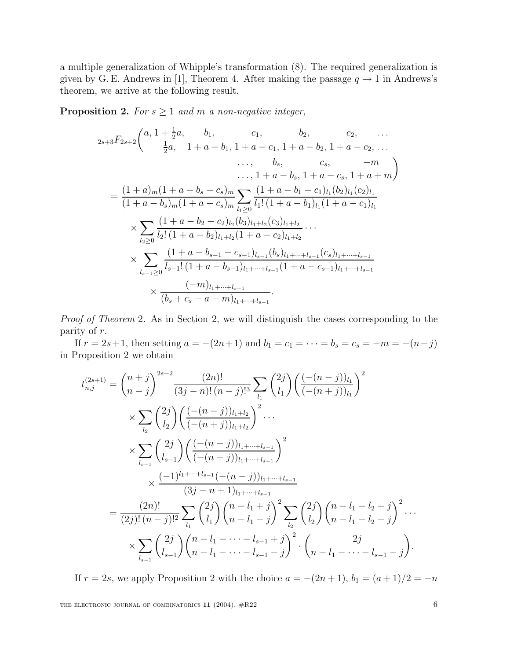a multiple generalization of Whipple's transformation (8). The required generalization is given by G. E. Andrews in [1], Theorem 4. After making the passage  $q \rightarrow 1$  in Andrews's theorem, we arrive at the following result.

**Proposition 2.** For  $s \geq 1$  and m a non-negative integer,

$$
2s+3F_{2s+2}\begin{pmatrix} a, 1+\frac{1}{2}a, & b_1, & c_1, & b_2, & c_2, & \dots \\ \frac{1}{2}a, & 1+a-b_1, 1+a-c_1, 1+a-b_2, 1+a-c_2, & \dots \\ \dots, & b_s, & c_s, & -m \\ \dots, 1+a-b_s, 1+a-c_s, 1+a+m \end{pmatrix}
$$
  
= 
$$
\frac{(1+a)_m(1+a-b_s-c_s)_m}{(1+a-b_s)_m(1+a-c_s)_m} \sum_{l_1 \geq 0} \frac{(1+a-b_1-c_1)_{l_1}(b_2)_{l_1}(c_2)_{l_1}}{l_1!(1+a-b_1)_{l_1}(1+a-c_1)_{l_1}}
$$
  

$$
\times \sum_{l_2 \geq 0} \frac{(1+a-b_2-c_2)_{l_2}(b_3)_{l_1+l_2}(c_3)_{l_1+l_2}}{l_2!(1+a-b_2)_{l_1+l_2}(1+a-c_2)_{l_1+l_2}}
$$
  

$$
\times \sum_{l_{s-1} \geq 0} \frac{(1+a-b_{s-1}-c_{s-1})_{l_{s-1}}(b_s)_{l_1+\dots+l_{s-1}}(c_s)_{l_1+\dots+l_{s-1}}}{l_{s-1} \geq 0}
$$
  

$$
\times \frac{(-m)_{l_1+\dots+l_{s-1}}}{(b_s+c_s-a-m)_{l_1+\dots+l_{s-1}}}.
$$

Proof of Theorem 2. As in Section 2, we will distinguish the cases corresponding to the parity of r.

If  $r = 2s+1$ , then setting  $a = -(2n+1)$  and  $b_1 = c_1 = \cdots = b_s = c_s = -m = -(n-j)$ in Proposition 2 we obtain

$$
t_{n,j}^{(2s+1)} = {n+j \choose n-j}^{2s-2} \frac{(2n)!}{(3j-n)!(n-j)!^3} \sum_{l_1} {2j \choose l_1} \left( \frac{(-(n-j))_{l_1}}{(-(n+j))_{l_1}} \right)^2
$$
  
\n
$$
\times \sum_{l_2} {2j \choose l_2} \left( \frac{(-(n-j))_{l_1+l_2}}{(-(n+j))_{l_1+l_2}} \right)^2 \cdots
$$
  
\n
$$
\times \sum_{l_{s-1}} {2j \choose l_{s-1}} \left( \frac{(-n-j)_{l_1+\cdots+l_{s-1}}}{(-(n+j))_{l_1+\cdots+l_{s-1}}} \right)^2
$$
  
\n
$$
\times \frac{(-1)^{l_1+\cdots+l_{s-1}}(-(n-j))_{l_1+\cdots+l_{s-1}}}{(3j-n+1)_{l_1+\cdots+l_{s-1}}}
$$
  
\n
$$
= \frac{(2n)!}{(2j)!(n-j)!^2} \sum_{l_1} {2j \choose l_1} {n-l_1+j \choose n-l_1-j}^2 \sum_{l_2} {2j \choose l_2} {n-l_1-l_2+j \choose n-l_1-l_2-j}^2 \cdots
$$
  
\n
$$
\times \sum_{l_{s-1}} {2j \choose l_{s-1}} {n-l_1-\cdots-l_{s-1}+j \choose n-l_1-\cdots-l_{s-1}-j}^2 \cdot {2j \choose n-l_1-\cdots-l_{s-1}-j}.
$$

If  $r = 2s$ , we apply Proposition 2 with the choice  $a = -(2n+1)$ ,  $b_1 = (a+1)/2 = -n$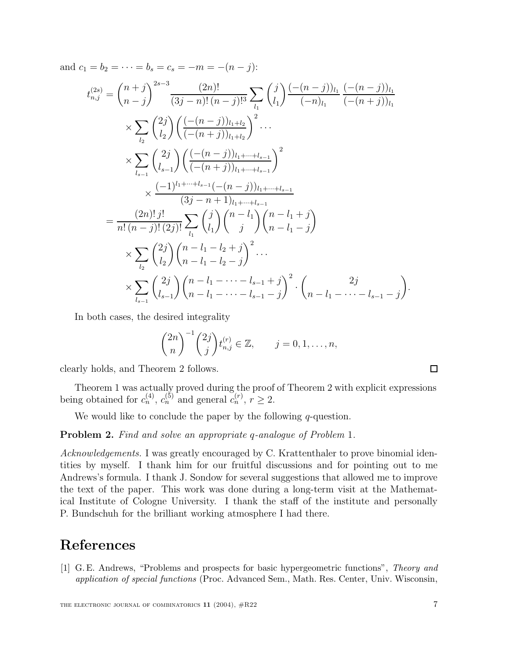and  $c_1 = b_2 = \cdots = b_s = c_s = -m = -(n-j)$ :

$$
t_{n,j}^{(2s)} = {n+j \choose n-j}^{2s-3} \frac{(2n)!}{(3j-n)!(n-j)!^3} \sum_{l_1} {j \choose l_1} \frac{(-(n-j))_{l_1}}{(-n)_{l_1}} \frac{(-(n-j))_{l_1}}{(-n+j))_{l_1}}
$$
  
\n
$$
\times \sum_{l_2} {2j \choose l_2} \left( \frac{(-(n-j))_{l_1+l_2}}{(-(n+j))_{l_1+l_2}} \right)^2 \cdots
$$
  
\n
$$
\times \sum_{l_{s-1}} {2j \choose l_{s-1}} \left( \frac{(-(n-j))_{l_1+\cdots+l_{s-1}}}{(-(n+j))_{l_1+\cdots+l_{s-1}}} \right)^2
$$
  
\n
$$
\times \frac{(-1)^{l_1+\cdots+l_{s-1}}}{(3j-n+1)_{l_1+\cdots+l_{s-1}}}
$$
  
\n
$$
= \frac{(2n)!j!}{n!(n-j)!(2j)!} \sum_{l_1} {j \choose l_1} {n-l_1 \choose j} {n-l_1+j \choose n-l_1-j}
$$
  
\n
$$
\times \sum_{l_2} {2j \choose l_2} {n-l_1-l_2+j \choose n-l_1-l_2-j}^2 \cdots
$$
  
\n
$$
\times \sum_{l_{s-1}} {2j \choose l_{s-1}} {n-l_1-\cdots-l_{s-1}+j \choose n-l_1-\cdots-l_{s-1-j}}^2 \cdot {n-l_1-\cdots-l_{s-1-j}}
$$

In both cases, the desired integrality

$$
{2n \choose n}^{-1} {2j \choose j} t_{n,j}^{(r)} \in \mathbb{Z}, \qquad j = 0, 1, \dots, n,
$$

clearly holds, and Theorem 2 follows.

Theorem 1 was actually proved during the proof of Theorem 2 with explicit expressions being obtained for  $c_n^{(4)}$ ,  $c_n^{(5)}$  and general  $c_n^{(r)}$ ,  $r \geq 2$ .

We would like to conclude the paper by the following  $q$ -question.

**Problem 2.** Find and solve an appropriate q-analogue of Problem 1.

Acknowledgements. I was greatly encouraged by C. Krattenthaler to prove binomial identities by myself. I thank him for our fruitful discussions and for pointing out to me Andrews's formula. I thank J. Sondow for several suggestions that allowed me to improve the text of the paper. This work was done during a long-term visit at the Mathematical Institute of Cologne University. I thank the staff of the institute and personally P. Bundschuh for the brilliant working atmosphere I had there.

### **References**

[1] G. E. Andrews, "Problems and prospects for basic hypergeometric functions", *Theory and application of special functions* (Proc. Advanced Sem., Math. Res. Center, Univ. Wisconsin,

 $\Box$